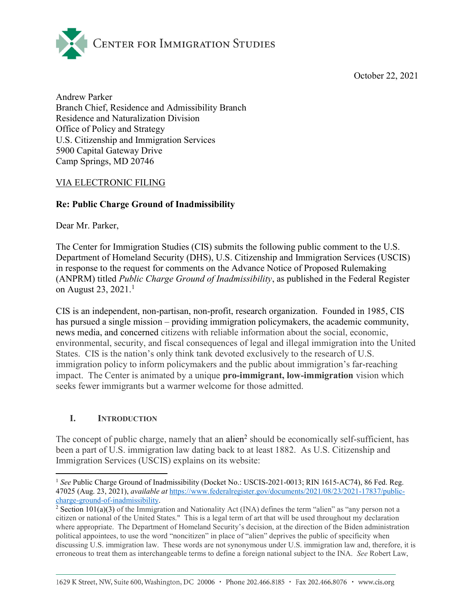October 22, 2021



Andrew Parker Branch Chief, Residence and Admissibility Branch Residence and Naturalization Division Office of Policy and Strategy U.S. Citizenship and Immigration Services 5900 Capital Gateway Drive Camp Springs, MD 20746

## VIA ELECTRONIC FILING

# Re: Public Charge Ground of Inadmissibility

Dear Mr. Parker,

The Center for Immigration Studies (CIS) submits the following public comment to the U.S. Department of Homeland Security (DHS), U.S. Citizenship and Immigration Services (USCIS) in response to the request for comments on the Advance Notice of Proposed Rulemaking (ANPRM) titled Public Charge Ground of Inadmissibility, as published in the Federal Register on August 23,  $2021.<sup>1</sup>$ 

CIS is an independent, non-partisan, non-profit, research organization. Founded in 1985, CIS has pursued a single mission – providing immigration policymakers, the academic community, news media, and concerned citizens with reliable information about the social, economic, environmental, security, and fiscal consequences of legal and illegal immigration into the United States. CIS is the nation's only think tank devoted exclusively to the research of U.S. immigration policy to inform policymakers and the public about immigration's far-reaching impact. The Center is animated by a unique pro-immigrant, low-immigration vision which seeks fewer immigrants but a warmer welcome for those admitted.

## I. INTRODUCTION

l

The concept of public charge, namely that an alien<sup>2</sup> should be economically self-sufficient, has been a part of U.S. immigration law dating back to at least 1882. As U.S. Citizenship and Immigration Services (USCIS) explains on its website:

<sup>&</sup>lt;sup>1</sup> See Public Charge Ground of Inadmissibility (Docket No.: USCIS-2021-0013; RIN 1615-AC74), 86 Fed. Reg. 47025 (Aug. 23, 2021), available at https://www.federalregister.gov/documents/2021/08/23/2021-17837/publiccharge-ground-of-inadmissibility.

<sup>&</sup>lt;sup>2</sup> Section 101(a)(3) of the Immigration and Nationality Act (INA) defines the term "alien" as "any person not a citizen or national of the United States." This is a legal term of art that will be used throughout my declaration where appropriate. The Department of Homeland Security's decision, at the direction of the Biden administration political appointees, to use the word "noncitizen" in place of "alien" deprives the public of specificity when discussing U.S. immigration law. These words are not synonymous under U.S. immigration law and, therefore, it is erroneous to treat them as interchangeable terms to define a foreign national subject to the INA. See Robert Law,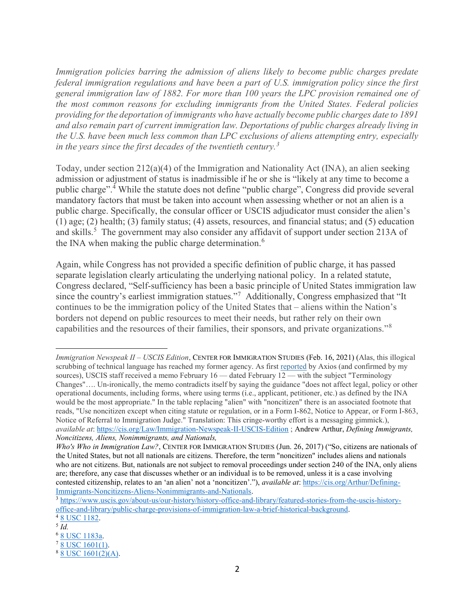Immigration policies barring the admission of aliens likely to become public charges predate federal immigration regulations and have been a part of U.S. immigration policy since the first general immigration law of 1882. For more than 100 years the LPC provision remained one of the most common reasons for excluding immigrants from the United States. Federal policies providing for the deportation of immigrants who have actually become public charges date to 1891 and also remain part of current immigration law. Deportations of public charges already living in the U.S. have been much less common than LPC exclusions of aliens attempting entry, especially in the years since the first decades of the twentieth century.<sup>3</sup>

Today, under section  $212(a)(4)$  of the Immigration and Nationality Act (INA), an alien seeking admission or adjustment of status is inadmissible if he or she is "likely at any time to become a public charge".<sup>4</sup> While the statute does not define "public charge", Congress did provide several mandatory factors that must be taken into account when assessing whether or not an alien is a public charge. Specifically, the consular officer or USCIS adjudicator must consider the alien's (1) age; (2) health; (3) family status; (4) assets, resources, and financial status; and (5) education and skills.<sup>5</sup> The government may also consider any affidavit of support under section 213A of the INA when making the public charge determination.<sup>6</sup>

Again, while Congress has not provided a specific definition of public charge, it has passed separate legislation clearly articulating the underlying national policy. In a related statute, Congress declared, "Self-sufficiency has been a basic principle of United States immigration law since the country's earliest immigration statues."<sup>7</sup> Additionally, Congress emphasized that "It continues to be the immigration policy of the United States that – aliens within the Nation's borders not depend on public resources to meet their needs, but rather rely on their own capabilities and the resources of their families, their sponsors, and private organizations."<sup>8</sup>

Immigration Newspeak II – USCIS Edition, CENTER FOR IMMIGRATION STUDIES (Feb. 16, 2021) (Alas, this illogical scrubbing of technical language has reached my former agency. As first reported by Axios (and confirmed by my sources), USCIS staff received a memo February 16 — dated February 12 — with the subject "Terminology Changes"…. Un-ironically, the memo contradicts itself by saying the guidance "does not affect legal, policy or other operational documents, including forms, where using terms (i.e., applicant, petitioner, etc.) as defined by the INA would be the most appropriate." In the table replacing "alien" with "noncitizen" there is an associated footnote that reads, "Use noncitizen except when citing statute or regulation, or in a Form I-862, Notice to Appear, or Form I-863, Notice of Referral to Immigration Judge." Translation: This cringe-worthy effort is a messaging gimmick.), available at: https://cis.org/Law/Immigration-Newspeak-II-USCIS-Edition ; Andrew Arthur, Defining Immigrants, Noncitizens, Aliens, Nonimmigrants, and Nationals,

Who's Who in Immigration Law?, CENTER FOR IMMIGRATION STUDIES (Jun. 26, 2017) ("So, citizens are nationals of the United States, but not all nationals are citizens. Therefore, the term "noncitizen" includes aliens and nationals who are not citizens. But, nationals are not subject to removal proceedings under section 240 of the INA, only aliens are; therefore, any case that discusses whether or an individual is to be removed, unless it is a case involving contested citizenship, relates to an 'an alien' not a 'noncitizen'."), *available at*: https://cis.org/Arthur/Defining-Immigrants-Noncitizens-Aliens-Nonimmigrants-and-Nationals.

<sup>3</sup> https://www.uscis.gov/about-us/our-history/history-office-and-library/featured-stories-from-the-uscis-historyoffice-and-library/public-charge-provisions-of-immigration-law-a-brief-historical-background. <sup>4</sup> 8 USC 1182.

 $^5$  Id.

<sup>6</sup> 8 USC 1183a.  $7\overline{8}$  USC 1601(1).

<sup>8</sup> 8 USC 1601(2)(A).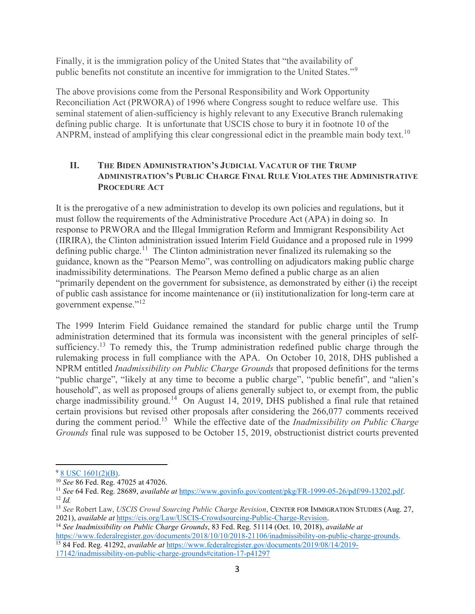Finally, it is the immigration policy of the United States that "the availability of public benefits not constitute an incentive for immigration to the United States."<sup>9</sup>

The above provisions come from the Personal Responsibility and Work Opportunity Reconciliation Act (PRWORA) of 1996 where Congress sought to reduce welfare use. This seminal statement of alien-sufficiency is highly relevant to any Executive Branch rulemaking defining public charge. It is unfortunate that USCIS chose to bury it in footnote 10 of the ANPRM, instead of amplifying this clear congressional edict in the preamble main body text.<sup>10</sup>

## II. THE BIDEN ADMINISTRATION'S JUDICIAL VACATUR OF THE TRUMP ADMINISTRATION'S PUBLIC CHARGE FINAL RULE VIOLATES THE ADMINISTRATIVE PROCEDURE ACT

It is the prerogative of a new administration to develop its own policies and regulations, but it must follow the requirements of the Administrative Procedure Act (APA) in doing so. In response to PRWORA and the Illegal Immigration Reform and Immigrant Responsibility Act (IIRIRA), the Clinton administration issued Interim Field Guidance and a proposed rule in 1999 defining public charge.<sup>11</sup> The Clinton administration never finalized its rulemaking so the guidance, known as the "Pearson Memo", was controlling on adjudicators making public charge inadmissibility determinations. The Pearson Memo defined a public charge as an alien "primarily dependent on the government for subsistence, as demonstrated by either (i) the receipt of public cash assistance for income maintenance or (ii) institutionalization for long-term care at government expense."<sup>12</sup>

The 1999 Interim Field Guidance remained the standard for public charge until the Trump administration determined that its formula was inconsistent with the general principles of selfsufficiency.<sup>13</sup> To remedy this, the Trump administration redefined public charge through the rulemaking process in full compliance with the APA. On October 10, 2018, DHS published a NPRM entitled *Inadmissibility on Public Charge Grounds* that proposed definitions for the terms "public charge", "likely at any time to become a public charge", "public benefit", and "alien's household", as well as proposed groups of aliens generally subject to, or exempt from, the public charge inadmissibility ground.<sup>14</sup> On August 14, 2019, DHS published a final rule that retained certain provisions but revised other proposals after considering the 266,077 comments received during the comment period.<sup>15</sup> While the effective date of the *Inadmissibility on Public Charge* Grounds final rule was supposed to be October 15, 2019, obstructionist district courts prevented

17142/inadmissibility-on-public-charge-grounds#citation-17-p41297

l <sup>9</sup> 8 USC 1601(2)(B).

<sup>&</sup>lt;sup>10</sup> See 86 Fed. Reg. 47025 at 47026.

<sup>&</sup>lt;sup>11</sup> See 64 Fed. Reg. 28689, available at https://www.govinfo.gov/content/pkg/FR-1999-05-26/pdf/99-13202.pdf.  $12$  *Id.* 

<sup>&</sup>lt;sup>13</sup> See Robert Law, USCIS Crowd Sourcing Public Charge Revision, CENTER FOR IMMIGRATION STUDIES (Aug. 27, 2021), available at https://cis.org/Law/USCIS-Crowdsourcing-Public-Charge-Revision.

<sup>&</sup>lt;sup>14</sup> See Inadmissibility on Public Charge Grounds, 83 Fed. Reg. 51114 (Oct. 10, 2018), available at https://www.federalregister.gov/documents/2018/10/10/2018-21106/inadmissibility-on-public-charge-grounds.

<sup>&</sup>lt;sup>15</sup> 84 Fed. Reg. 41292, *available at https://www.federalregister.gov/documents/2019/08/14/2019-*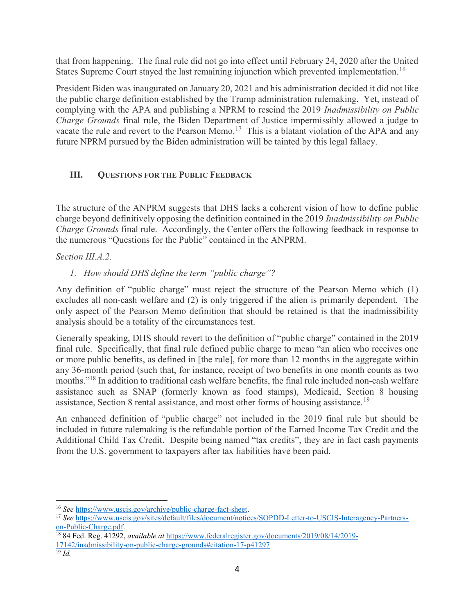that from happening. The final rule did not go into effect until February 24, 2020 after the United States Supreme Court stayed the last remaining injunction which prevented implementation.<sup>16</sup>

President Biden was inaugurated on January 20, 2021 and his administration decided it did not like the public charge definition established by the Trump administration rulemaking. Yet, instead of complying with the APA and publishing a NPRM to rescind the 2019 Inadmissibility on Public Charge Grounds final rule, the Biden Department of Justice impermissibly allowed a judge to vacate the rule and revert to the Pearson Memo.<sup>17</sup> This is a blatant violation of the APA and any future NPRM pursued by the Biden administration will be tainted by this legal fallacy.

# III. QUESTIONS FOR THE PUBLIC FEEDBACK

The structure of the ANPRM suggests that DHS lacks a coherent vision of how to define public charge beyond definitively opposing the definition contained in the 2019 Inadmissibility on Public Charge Grounds final rule. Accordingly, the Center offers the following feedback in response to the numerous "Questions for the Public" contained in the ANPRM.

Section III.A.2.

1. How should DHS define the term "public charge"?

Any definition of "public charge" must reject the structure of the Pearson Memo which (1) excludes all non-cash welfare and (2) is only triggered if the alien is primarily dependent. The only aspect of the Pearson Memo definition that should be retained is that the inadmissibility analysis should be a totality of the circumstances test.

Generally speaking, DHS should revert to the definition of "public charge" contained in the 2019 final rule. Specifically, that final rule defined public charge to mean "an alien who receives one or more public benefits, as defined in [the rule], for more than 12 months in the aggregate within any 36-month period (such that, for instance, receipt of two benefits in one month counts as two months."<sup>18</sup> In addition to traditional cash welfare benefits, the final rule included non-cash welfare assistance such as SNAP (formerly known as food stamps), Medicaid, Section 8 housing assistance, Section 8 rental assistance, and most other forms of housing assistance.<sup>19</sup>

An enhanced definition of "public charge" not included in the 2019 final rule but should be included in future rulemaking is the refundable portion of the Earned Income Tax Credit and the Additional Child Tax Credit. Despite being named "tax credits", they are in fact cash payments from the U.S. government to taxpayers after tax liabilities have been paid.

<sup>16</sup> See https://www.uscis.gov/archive/public-charge-fact-sheet.

<sup>17</sup> See https://www.uscis.gov/sites/default/files/document/notices/SOPDD-Letter-to-USCIS-Interagency-Partnerson-Public-Charge.pdf.

<sup>&</sup>lt;sup>18</sup> 84 Fed. Reg. 41292, *available at https://www.federalregister.gov/documents/2019/08/14/2019-*17142/inadmissibility-on-public-charge-grounds#citation-17-p41297

 $19$  *Id.*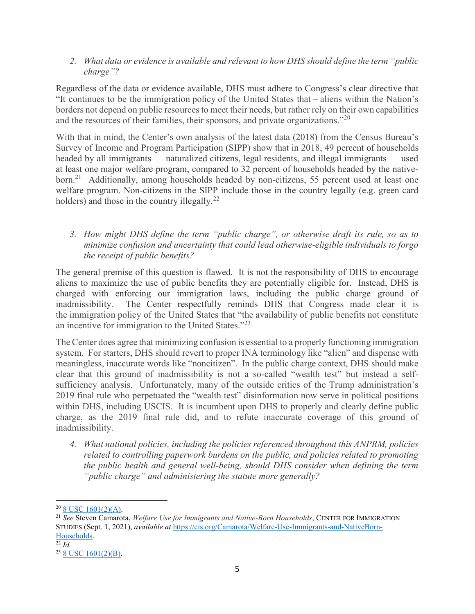2. What data or evidence is available and relevant to how DHS should define the term "public charge"?

Regardless of the data or evidence available, DHS must adhere to Congress's clear directive that "It continues to be the immigration policy of the United States that – aliens within the Nation's borders not depend on public resources to meet their needs, but rather rely on their own capabilities and the resources of their families, their sponsors, and private organizations."<sup>20</sup>

With that in mind, the Center's own analysis of the latest data (2018) from the Census Bureau's Survey of Income and Program Participation (SIPP) show that in 2018, 49 percent of households headed by all immigrants — naturalized citizens, legal residents, and illegal immigrants — used at least one major welfare program, compared to 32 percent of households headed by the nativeborn.<sup>21</sup> Additionally, among households headed by non-citizens, 55 percent used at least one welfare program. Non-citizens in the SIPP include those in the country legally (e.g. green card holders) and those in the country illegally. $^{22}$ 

3. How might DHS define the term "public charge", or otherwise draft its rule, so as to minimize confusion and uncertainty that could lead otherwise-eligible individuals to forgo the receipt of public benefits?

The general premise of this question is flawed. It is not the responsibility of DHS to encourage aliens to maximize the use of public benefits they are potentially eligible for. Instead, DHS is charged with enforcing our immigration laws, including the public charge ground of inadmissibility. The Center respectfully reminds DHS that Congress made clear it is the immigration policy of the United States that "the availability of public benefits not constitute an incentive for immigration to the United States."<sup>23</sup>

The Center does agree that minimizing confusion is essential to a properly functioning immigration system. For starters, DHS should revert to proper INA terminology like "alien" and dispense with meaningless, inaccurate words like "noncitizen". In the public charge context, DHS should make clear that this ground of inadmissibility is not a so-called "wealth test" but instead a selfsufficiency analysis. Unfortunately, many of the outside critics of the Trump administration's 2019 final rule who perpetuated the "wealth test" disinformation now serve in political positions within DHS, including USCIS. It is incumbent upon DHS to properly and clearly define public charge, as the 2019 final rule did, and to refute inaccurate coverage of this ground of inadmissibility.

4. What national policies, including the policies referenced throughout this ANPRM, policies related to controlling paperwork burdens on the public, and policies related to promoting the public health and general well-being, should DHS consider when defining the term "public charge" and administering the statute more generally?

<sup>20</sup> 8 USC 1601(2)(A).

<sup>&</sup>lt;sup>21</sup> See Steven Camarota, Welfare Use for Immigrants and Native-Born Households, CENTER FOR IMMIGRATION STUDIES (Sept. 1, 2021), available at https://cis.org/Camarota/Welfare-Use-Immigrants-and-NativeBorn-Households.

 $\overline{^{22}$  Id.

<sup>23</sup> 8 USC 1601(2)(B).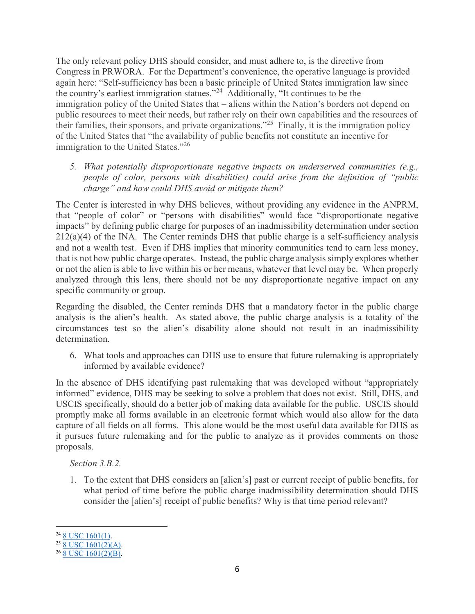The only relevant policy DHS should consider, and must adhere to, is the directive from Congress in PRWORA. For the Department's convenience, the operative language is provided again here: "Self-sufficiency has been a basic principle of United States immigration law since the country's earliest immigration statues."<sup>24</sup> Additionally, "It continues to be the immigration policy of the United States that – aliens within the Nation's borders not depend on public resources to meet their needs, but rather rely on their own capabilities and the resources of their families, their sponsors, and private organizations."<sup>25</sup> Finally, it is the immigration policy of the United States that "the availability of public benefits not constitute an incentive for immigration to the United States."<sup>26</sup>

5. What potentially disproportionate negative impacts on underserved communities (e.g., people of color, persons with disabilities) could arise from the definition of "public charge" and how could DHS avoid or mitigate them?

The Center is interested in why DHS believes, without providing any evidence in the ANPRM, that "people of color" or "persons with disabilities" would face "disproportionate negative impacts" by defining public charge for purposes of an inadmissibility determination under section  $212(a)(4)$  of the INA. The Center reminds DHS that public charge is a self-sufficiency analysis and not a wealth test. Even if DHS implies that minority communities tend to earn less money, that is not how public charge operates. Instead, the public charge analysis simply explores whether or not the alien is able to live within his or her means, whatever that level may be. When properly analyzed through this lens, there should not be any disproportionate negative impact on any specific community or group.

Regarding the disabled, the Center reminds DHS that a mandatory factor in the public charge analysis is the alien's health. As stated above, the public charge analysis is a totality of the circumstances test so the alien's disability alone should not result in an inadmissibility determination.

6. What tools and approaches can DHS use to ensure that future rulemaking is appropriately informed by available evidence?

In the absence of DHS identifying past rulemaking that was developed without "appropriately informed" evidence, DHS may be seeking to solve a problem that does not exist. Still, DHS, and USCIS specifically, should do a better job of making data available for the public. USCIS should promptly make all forms available in an electronic format which would also allow for the data capture of all fields on all forms. This alone would be the most useful data available for DHS as it pursues future rulemaking and for the public to analyze as it provides comments on those proposals.

Section 3.B.2.

1. To the extent that DHS considers an [alien's] past or current receipt of public benefits, for what period of time before the public charge inadmissibility determination should DHS consider the [alien's] receipt of public benefits? Why is that time period relevant?

<sup>&</sup>lt;sup>24</sup> 8 USC 1601(1).

 $^{25}$  8 USC 1601(2)(A).

 $26$  8 USC 1601(2)(B).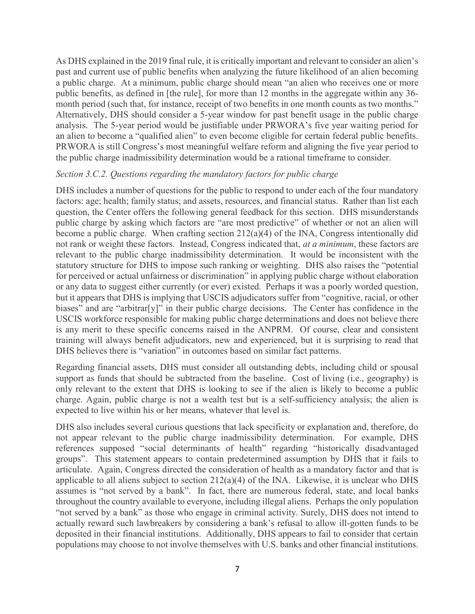As DHS explained in the 2019 final rule, it is critically important and relevant to consider an alien's past and current use of public benefits when analyzing the future likelihood of an alien becoming a public charge. At a minimum, public charge should mean "an alien who receives one or more public benefits, as defined in [the rule], for more than 12 months in the aggregate within any 36 month period (such that, for instance, receipt of two benefits in one month counts as two months." Alternatively, DHS should consider a 5-year window for past benefit usage in the public charge analysis. The 5-year period would be justifiable under PRWORA's five year waiting period for an alien to become a "qualified alien" to even become eligible for certain federal public benefits. PRWORA is still Congress's most meaningful welfare reform and aligning the five year period to the public charge inadmissibility determination would be a rational timeframe to consider.

#### Section 3.C.2. Questions regarding the mandatory factors for public charge

DHS includes a number of questions for the public to respond to under each of the four mandatory factors: age; health; family status; and assets, resources, and financial status. Rather than list each question, the Center offers the following general feedback for this section. DHS misunderstands public charge by asking which factors are "are most predictive" of whether or not an alien will become a public charge. When crafting section 212(a)(4) of the INA, Congress intentionally did not rank or weight these factors. Instead, Congress indicated that, *at a minimum*, these factors are relevant to the public charge inadmissibility determination. It would be inconsistent with the statutory structure for DHS to impose such ranking or weighting. DHS also raises the "potential for perceived or actual unfairness or discrimination" in applying public charge without elaboration or any data to suggest either currently (or ever) existed. Perhaps it was a poorly worded question, but it appears that DHS is implying that USCIS adjudicators suffer from "cognitive, racial, or other biases" and are "arbitrar[y]" in their public charge decisions. The Center has confidence in the USCIS workforce responsible for making public charge determinations and does not believe there is any merit to these specific concerns raised in the ANPRM. Of course, clear and consistent training will always benefit adjudicators, new and experienced, but it is surprising to read that DHS believes there is "variation" in outcomes based on similar fact patterns.

Regarding financial assets, DHS must consider all outstanding debts, including child or spousal support as funds that should be subtracted from the baseline. Cost of living (i.e., geography) is only relevant to the extent that DHS is looking to see if the alien is likely to become a public charge. Again, public charge is not a wealth test but is a self-sufficiency analysis; the alien is expected to live within his or her means, whatever that level is.

DHS also includes several curious questions that lack specificity or explanation and, therefore, do not appear relevant to the public charge inadmissibility determination. For example, DHS references supposed "social determinants of health" regarding "historically disadvantaged groups". This statement appears to contain predetermined assumption by DHS that it fails to articulate. Again, Congress directed the consideration of health as a mandatory factor and that is applicable to all aliens subject to section  $212(a)(4)$  of the INA. Likewise, it is unclear who DHS assumes is "not served by a bank". In fact, there are numerous federal, state, and local banks throughout the country available to everyone, including illegal aliens. Perhaps the only population "not served by a bank" as those who engage in criminal activity. Surely, DHS does not intend to actually reward such lawbreakers by considering a bank's refusal to allow ill-gotten funds to be deposited in their financial institutions. Additionally, DHS appears to fail to consider that certain populations may choose to not involve themselves with U.S. banks and other financial institutions.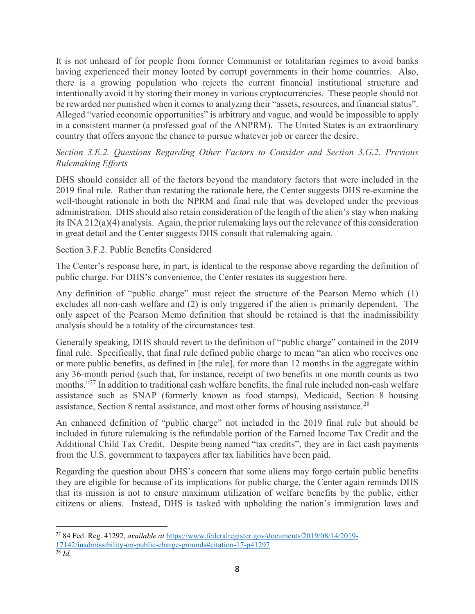It is not unheard of for people from former Communist or totalitarian regimes to avoid banks having experienced their money looted by corrupt governments in their home countries. Also, there is a growing population who rejects the current financial institutional structure and intentionally avoid it by storing their money in various cryptocurrencies. These people should not be rewarded nor punished when it comes to analyzing their "assets, resources, and financial status". Alleged "varied economic opportunities" is arbitrary and vague, and would be impossible to apply in a consistent manner (a professed goal of the ANPRM). The United States is an extraordinary country that offers anyone the chance to pursue whatever job or career the desire.

# Section 3.E.2. Questions Regarding Other Factors to Consider and Section 3.G.2. Previous Rulemaking Efforts

DHS should consider all of the factors beyond the mandatory factors that were included in the 2019 final rule. Rather than restating the rationale here, the Center suggests DHS re-examine the well-thought rationale in both the NPRM and final rule that was developed under the previous administration. DHS should also retain consideration of the length of the alien's stay when making its INA 212(a)(4) analysis. Again, the prior rulemaking lays out the relevance of this consideration in great detail and the Center suggests DHS consult that rulemaking again.

## Section 3.F.2. Public Benefits Considered

The Center's response here, in part, is identical to the response above regarding the definition of public charge. For DHS's convenience, the Center restates its suggestion here.

Any definition of "public charge" must reject the structure of the Pearson Memo which (1) excludes all non-cash welfare and (2) is only triggered if the alien is primarily dependent. The only aspect of the Pearson Memo definition that should be retained is that the inadmissibility analysis should be a totality of the circumstances test.

Generally speaking, DHS should revert to the definition of "public charge" contained in the 2019 final rule. Specifically, that final rule defined public charge to mean "an alien who receives one or more public benefits, as defined in [the rule], for more than 12 months in the aggregate within any 36-month period (such that, for instance, receipt of two benefits in one month counts as two months."<sup>27</sup> In addition to traditional cash welfare benefits, the final rule included non-cash welfare assistance such as SNAP (formerly known as food stamps), Medicaid, Section 8 housing assistance, Section 8 rental assistance, and most other forms of housing assistance.<sup>28</sup>

An enhanced definition of "public charge" not included in the 2019 final rule but should be included in future rulemaking is the refundable portion of the Earned Income Tax Credit and the Additional Child Tax Credit. Despite being named "tax credits", they are in fact cash payments from the U.S. government to taxpayers after tax liabilities have been paid.

Regarding the question about DHS's concern that some aliens may forgo certain public benefits they are eligible for because of its implications for public charge, the Center again reminds DHS that its mission is not to ensure maximum utilization of welfare benefits by the public, either citizens or aliens. Instead, DHS is tasked with upholding the nation's immigration laws and

l <sup>27</sup> 84 Fed. Reg. 41292, *available at https://www.federalregister.gov/documents/2019/08/14/2019-*17142/inadmissibility-on-public-charge-grounds#citation-17-p41297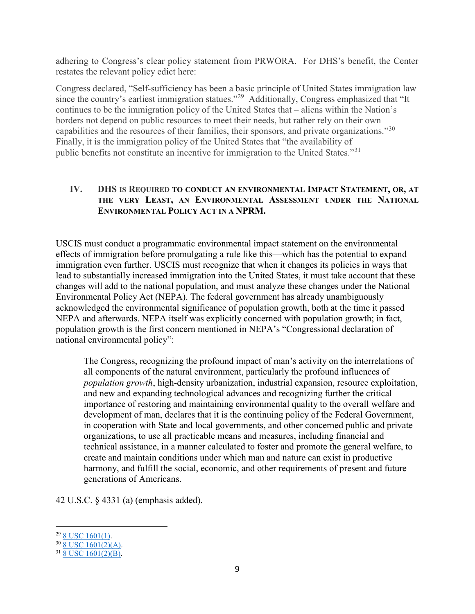adhering to Congress's clear policy statement from PRWORA. For DHS's benefit, the Center restates the relevant policy edict here:

Congress declared, "Self-sufficiency has been a basic principle of United States immigration law since the country's earliest immigration statues."<sup>29</sup> Additionally, Congress emphasized that "It continues to be the immigration policy of the United States that – aliens within the Nation's borders not depend on public resources to meet their needs, but rather rely on their own capabilities and the resources of their families, their sponsors, and private organizations."<sup>30</sup> Finally, it is the immigration policy of the United States that "the availability of public benefits not constitute an incentive for immigration to the United States."<sup>31</sup>

## IV. DHS IS REQUIRED TO CONDUCT AN ENVIRONMENTAL IMPACT STATEMENT, OR, AT THE VERY LEAST, AN ENVIRONMENTAL ASSESSMENT UNDER THE NATIONAL ENVIRONMENTAL POLICY ACT IN A NPRM.

USCIS must conduct a programmatic environmental impact statement on the environmental effects of immigration before promulgating a rule like this—which has the potential to expand immigration even further. USCIS must recognize that when it changes its policies in ways that lead to substantially increased immigration into the United States, it must take account that these changes will add to the national population, and must analyze these changes under the National Environmental Policy Act (NEPA). The federal government has already unambiguously acknowledged the environmental significance of population growth, both at the time it passed NEPA and afterwards. NEPA itself was explicitly concerned with population growth; in fact, population growth is the first concern mentioned in NEPA's "Congressional declaration of national environmental policy":

The Congress, recognizing the profound impact of man's activity on the interrelations of all components of the natural environment, particularly the profound influences of population growth, high-density urbanization, industrial expansion, resource exploitation, and new and expanding technological advances and recognizing further the critical importance of restoring and maintaining environmental quality to the overall welfare and development of man, declares that it is the continuing policy of the Federal Government, in cooperation with State and local governments, and other concerned public and private organizations, to use all practicable means and measures, including financial and technical assistance, in a manner calculated to foster and promote the general welfare, to create and maintain conditions under which man and nature can exist in productive harmony, and fulfill the social, economic, and other requirements of present and future generations of Americans.

42 U.S.C. § 4331 (a) (emphasis added).

 $29$  8 USC 1601(1).

 $30 \overline{\text{8 USC 1601(2)}(A)}$ .

<sup>31</sup> 8 USC 1601(2)(B).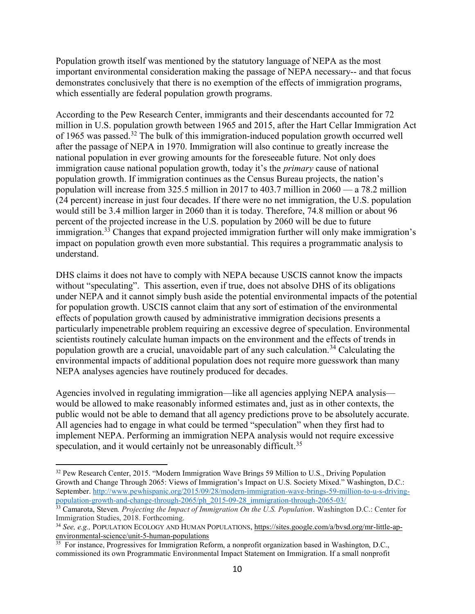Population growth itself was mentioned by the statutory language of NEPA as the most important environmental consideration making the passage of NEPA necessary-- and that focus demonstrates conclusively that there is no exemption of the effects of immigration programs, which essentially are federal population growth programs.

According to the Pew Research Center, immigrants and their descendants accounted for 72 million in U.S. population growth between 1965 and 2015, after the Hart Cellar Immigration Act of 1965 was passed.<sup>32</sup> The bulk of this immigration-induced population growth occurred well after the passage of NEPA in 1970. Immigration will also continue to greatly increase the national population in ever growing amounts for the foreseeable future. Not only does immigration cause national population growth, today it's the *primary* cause of national population growth. If immigration continues as the Census Bureau projects, the nation's population will increase from 325.5 million in 2017 to 403.7 million in 2060 — a 78.2 million (24 percent) increase in just four decades. If there were no net immigration, the U.S. population would still be 3.4 million larger in 2060 than it is today. Therefore, 74.8 million or about 96 percent of the projected increase in the U.S. population by 2060 will be due to future immigration.<sup>33</sup> Changes that expand projected immigration further will only make immigration's impact on population growth even more substantial. This requires a programmatic analysis to understand.

DHS claims it does not have to comply with NEPA because USCIS cannot know the impacts without "speculating". This assertion, even if true, does not absolve DHS of its obligations under NEPA and it cannot simply bush aside the potential environmental impacts of the potential for population growth. USCIS cannot claim that any sort of estimation of the environmental effects of population growth caused by administrative immigration decisions presents a particularly impenetrable problem requiring an excessive degree of speculation. Environmental scientists routinely calculate human impacts on the environment and the effects of trends in population growth are a crucial, unavoidable part of any such calculation.<sup>34</sup> Calculating the environmental impacts of additional population does not require more guesswork than many NEPA analyses agencies have routinely produced for decades.

Agencies involved in regulating immigration—like all agencies applying NEPA analysis would be allowed to make reasonably informed estimates and, just as in other contexts, the public would not be able to demand that all agency predictions prove to be absolutely accurate. All agencies had to engage in what could be termed "speculation" when they first had to implement NEPA. Performing an immigration NEPA analysis would not require excessive speculation, and it would certainly not be unreasonably difficult.<sup>35</sup>

<sup>&</sup>lt;sup>32</sup> Pew Research Center, 2015. "Modern Immigration Wave Brings 59 Million to U.S., Driving Population Growth and Change Through 2065: Views of Immigration's Impact on U.S. Society Mixed." Washington, D.C.: September. http://www.pewhispanic.org/2015/09/28/modern-immigration-wave-brings-59-million-to-u-s-drivingpopulation-growth-and-change-through-2065/ph\_2015-09-28\_immigration-through-2065-03/

 $33$  Camarota, Steven. Projecting the Impact of Immigration On the U.S. Population. Washington D.C.: Center for Immigration Studies, 2018. Forthcoming.

<sup>34</sup> See, e.g., POPULATION ECOLOGY AND HUMAN POPULATIONS, https://sites.google.com/a/bvsd.org/mr-little-apenvironmental-science/unit-5-human-populations

 $35$  For instance, Progressives for Immigration Reform, a nonprofit organization based in Washington, D.C., commissioned its own Programmatic Environmental Impact Statement on Immigration. If a small nonprofit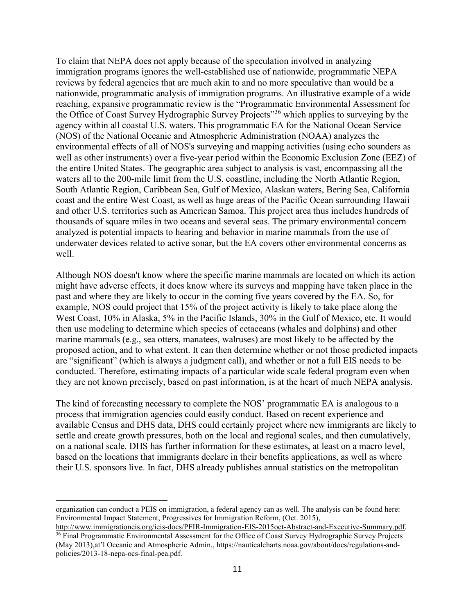To claim that NEPA does not apply because of the speculation involved in analyzing immigration programs ignores the well-established use of nationwide, programmatic NEPA reviews by federal agencies that are much akin to and no more speculative than would be a nationwide, programmatic analysis of immigration programs. An illustrative example of a wide reaching, expansive programmatic review is the "Programmatic Environmental Assessment for the Office of Coast Survey Hydrographic Survey Projects"<sup>36</sup> which applies to surveying by the agency within all coastal U.S. waters. This programmatic EA for the National Ocean Service (NOS) of the National Oceanic and Atmospheric Administration (NOAA) analyzes the environmental effects of all of NOS's surveying and mapping activities (using echo sounders as well as other instruments) over a five-year period within the Economic Exclusion Zone (EEZ) of the entire United States. The geographic area subject to analysis is vast, encompassing all the waters all to the 200-mile limit from the U.S. coastline, including the North Atlantic Region, South Atlantic Region, Caribbean Sea, Gulf of Mexico, Alaskan waters, Bering Sea, California coast and the entire West Coast, as well as huge areas of the Pacific Ocean surrounding Hawaii and other U.S. territories such as American Samoa. This project area thus includes hundreds of thousands of square miles in two oceans and several seas. The primary environmental concern analyzed is potential impacts to hearing and behavior in marine mammals from the use of underwater devices related to active sonar, but the EA covers other environmental concerns as well.

Although NOS doesn't know where the specific marine mammals are located on which its action might have adverse effects, it does know where its surveys and mapping have taken place in the past and where they are likely to occur in the coming five years covered by the EA. So, for example, NOS could project that 15% of the project activity is likely to take place along the West Coast, 10% in Alaska, 5% in the Pacific Islands, 30% in the Gulf of Mexico, etc. It would then use modeling to determine which species of cetaceans (whales and dolphins) and other marine mammals (e.g., sea otters, manatees, walruses) are most likely to be affected by the proposed action, and to what extent. It can then determine whether or not those predicted impacts are "significant" (which is always a judgment call), and whether or not a full EIS needs to be conducted. Therefore, estimating impacts of a particular wide scale federal program even when they are not known precisely, based on past information, is at the heart of much NEPA analysis.

The kind of forecasting necessary to complete the NOS' programmatic EA is analogous to a process that immigration agencies could easily conduct. Based on recent experience and available Census and DHS data, DHS could certainly project where new immigrants are likely to settle and create growth pressures, both on the local and regional scales, and then cumulatively, on a national scale. DHS has further information for these estimates, at least on a macro level, based on the locations that immigrants declare in their benefits applications, as well as where their U.S. sponsors live. In fact, DHS already publishes annual statistics on the metropolitan

organization can conduct a PEIS on immigration, a federal agency can as well. The analysis can be found here: Environmental Impact Statement, Progressives for Immigration Reform, (Oct. 2015),

http://www.immigrationeis.org/ieis-docs/PFIR-Immigration-EIS-2015oct-Abstract-and-Executive-Summary.pdf. <sup>36</sup> Final Programmatic Environmental Assessment for the Office of Coast Survey Hydrographic Survey Projects (May 2013),at'l Oceanic and Atmospheric Admin., https://nauticalcharts.noaa.gov/about/docs/regulations-andpolicies/2013-18-nepa-ocs-final-pea.pdf.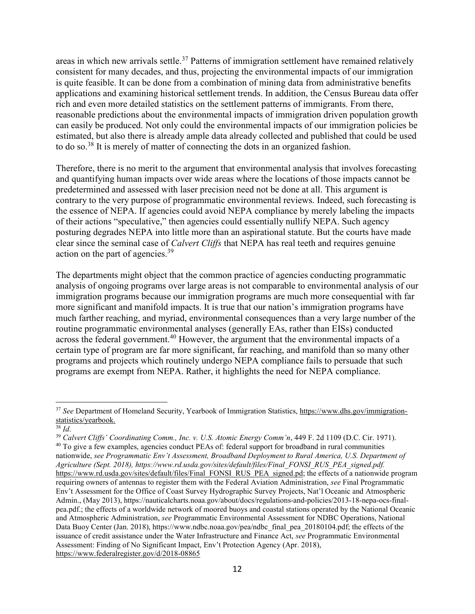areas in which new arrivals settle.<sup>37</sup> Patterns of immigration settlement have remained relatively consistent for many decades, and thus, projecting the environmental impacts of our immigration is quite feasible. It can be done from a combination of mining data from administrative benefits applications and examining historical settlement trends. In addition, the Census Bureau data offer rich and even more detailed statistics on the settlement patterns of immigrants. From there, reasonable predictions about the environmental impacts of immigration driven population growth can easily be produced. Not only could the environmental impacts of our immigration policies be estimated, but also there is already ample data already collected and published that could be used to do so.<sup>38</sup> It is merely of matter of connecting the dots in an organized fashion.

Therefore, there is no merit to the argument that environmental analysis that involves forecasting and quantifying human impacts over wide areas where the locations of those impacts cannot be predetermined and assessed with laser precision need not be done at all. This argument is contrary to the very purpose of programmatic environmental reviews. Indeed, such forecasting is the essence of NEPA. If agencies could avoid NEPA compliance by merely labeling the impacts of their actions "speculative," then agencies could essentially nullify NEPA. Such agency posturing degrades NEPA into little more than an aspirational statute. But the courts have made clear since the seminal case of Calvert Cliffs that NEPA has real teeth and requires genuine action on the part of agencies.<sup>39</sup>

The departments might object that the common practice of agencies conducting programmatic analysis of ongoing programs over large areas is not comparable to environmental analysis of our immigration programs because our immigration programs are much more consequential with far more significant and manifold impacts. It is true that our nation's immigration programs have much farther reaching, and myriad, environmental consequences than a very large number of the routine programmatic environmental analyses (generally EAs, rather than EISs) conducted across the federal government.<sup>40</sup> However, the argument that the environmental impacts of a certain type of program are far more significant, far reaching, and manifold than so many other programs and projects which routinely undergo NEPA compliance fails to persuade that such programs are exempt from NEPA. Rather, it highlights the need for NEPA compliance.

l

 $39$  Calvert Cliffs' Coordinating Comm., Inc. v. U.S. Atomic Energy Comm'n, 449 F. 2d 1109 (D.C. Cir. 1971). <sup>40</sup> To give a few examples, agencies conduct PEAs of: federal support for broadband in rural communities

nationwide, see Programmatic Env't Assessment, Broadband Deployment to Rural America, U.S. Department of Agriculture (Sept. 2018), https://www.rd.usda.gov/sites/default/files/Final\_FONSI\_RUS\_PEA\_signed.pdf. https://www.rd.usda.gov/sites/default/files/Final\_FONSI\_RUS\_PEA\_signed.pd; the effects of a nationwide program requiring owners of antennas to register them with the Federal Aviation Administration, see Final Programmatic Env't Assessment for the Office of Coast Survey Hydrographic Survey Projects, Nat'l Oceanic and Atmospheric Admin., (May 2013), https://nauticalcharts.noaa.gov/about/docs/regulations-and-policies/2013-18-nepa-ocs-finalpea.pdf.; the effects of a worldwide network of moored buoys and coastal stations operated by the National Oceanic and Atmospheric Administration, see Programmatic Environmental Assessment for NDBC Operations, National Data Buoy Center (Jan. 2018), https://www.ndbc.noaa.gov/pea/ndbc\_final\_pea\_20180104.pdf; the effects of the issuance of credit assistance under the Water Infrastructure and Finance Act, see Programmatic Environmental Assessment: Finding of No Significant Impact, Env't Protection Agency (Apr. 2018), https://www.federalregister.gov/d/2018-08865

<sup>&</sup>lt;sup>37</sup> See Department of Homeland Security, Yearbook of Immigration Statistics, https://www.dhs.gov/immigrationstatistics/yearbook.

 $38$  Id.